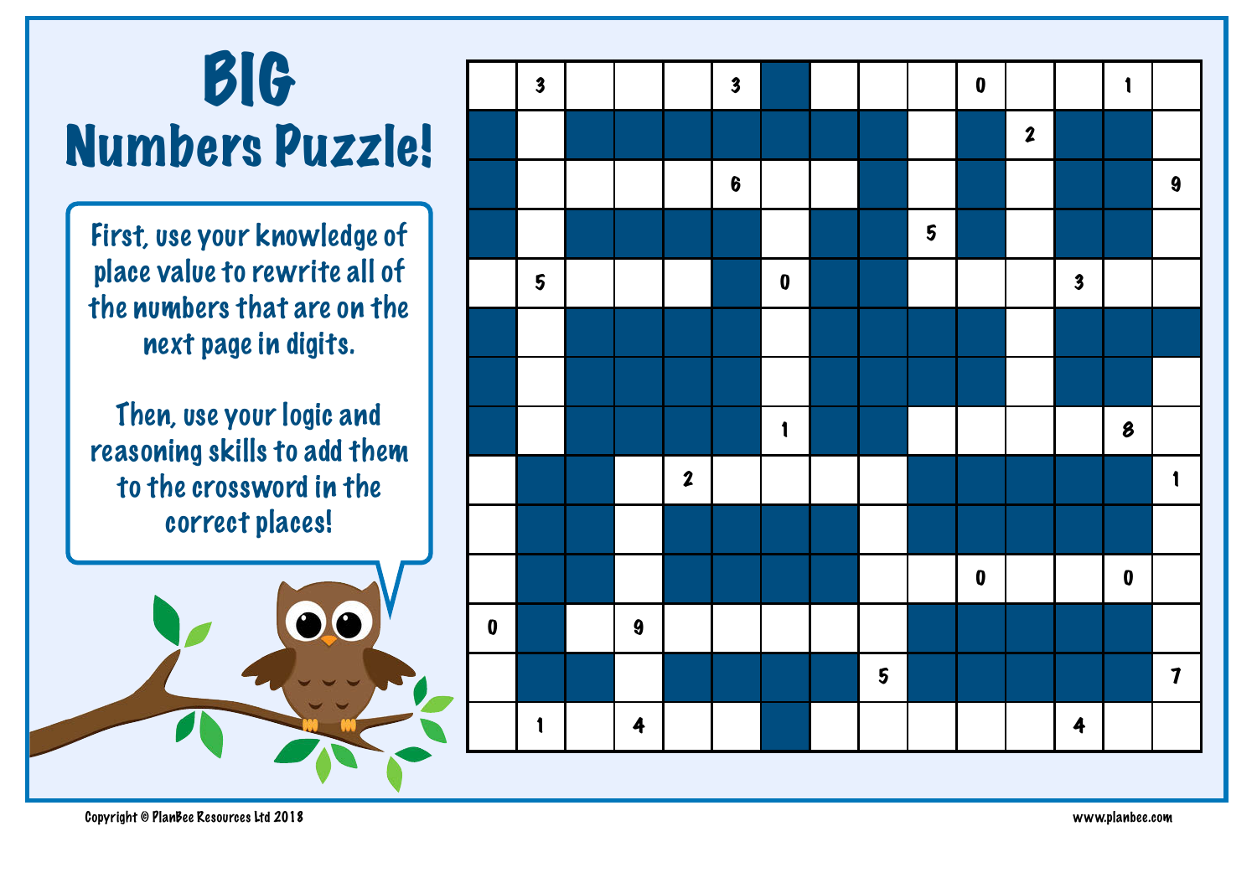## BIG Numbers Puzzle!

First, use your knowledge of place value to rewrite all of the numbers that are on the next page in digits.

Then, use your logic and reasoning skills to add them to the crossword in the correct places!



|           | $\boldsymbol{3}$ |                  |                  | $\overline{\mathbf{3}}$ |              |                         |                  | $\pmb{0}$ |                  |                         | $\mathbf{1}$     |                     |
|-----------|------------------|------------------|------------------|-------------------------|--------------|-------------------------|------------------|-----------|------------------|-------------------------|------------------|---------------------|
|           |                  |                  |                  |                         |              |                         |                  |           | $\boldsymbol{2}$ |                         |                  |                     |
|           |                  |                  |                  | $\boldsymbol{6}$        |              |                         |                  |           |                  |                         |                  | $\boldsymbol{9}$    |
|           |                  |                  |                  |                         |              |                         | $\boldsymbol{5}$ |           |                  |                         |                  |                     |
|           | 5                |                  |                  |                         | $\pmb{0}$    |                         |                  |           |                  | $\overline{\mathbf{3}}$ |                  |                     |
|           |                  |                  |                  |                         |              |                         |                  |           |                  |                         |                  |                     |
|           |                  |                  |                  |                         |              |                         |                  |           |                  |                         |                  |                     |
|           |                  |                  |                  |                         | $\mathbf{1}$ |                         |                  |           |                  |                         | 8                |                     |
|           |                  |                  | $\boldsymbol{2}$ |                         |              |                         |                  |           |                  |                         |                  | $\mathbf{1}$        |
|           |                  |                  |                  |                         |              |                         |                  |           |                  |                         |                  |                     |
|           |                  |                  |                  |                         |              |                         |                  | $\pmb{0}$ |                  |                         | $\boldsymbol{0}$ |                     |
| $\pmb{0}$ |                  | $\boldsymbol{9}$ |                  |                         |              |                         |                  |           |                  |                         |                  |                     |
|           |                  |                  |                  |                         |              | $\overline{\mathbf{5}}$ |                  |           |                  |                         |                  | $\boldsymbol{\eta}$ |
|           | $\mathbf{1}$     | 4                |                  |                         |              |                         |                  |           |                  | $\ddot{\mathbf{z}}$     |                  |                     |
|           |                  |                  |                  |                         |              |                         |                  |           |                  |                         |                  |                     |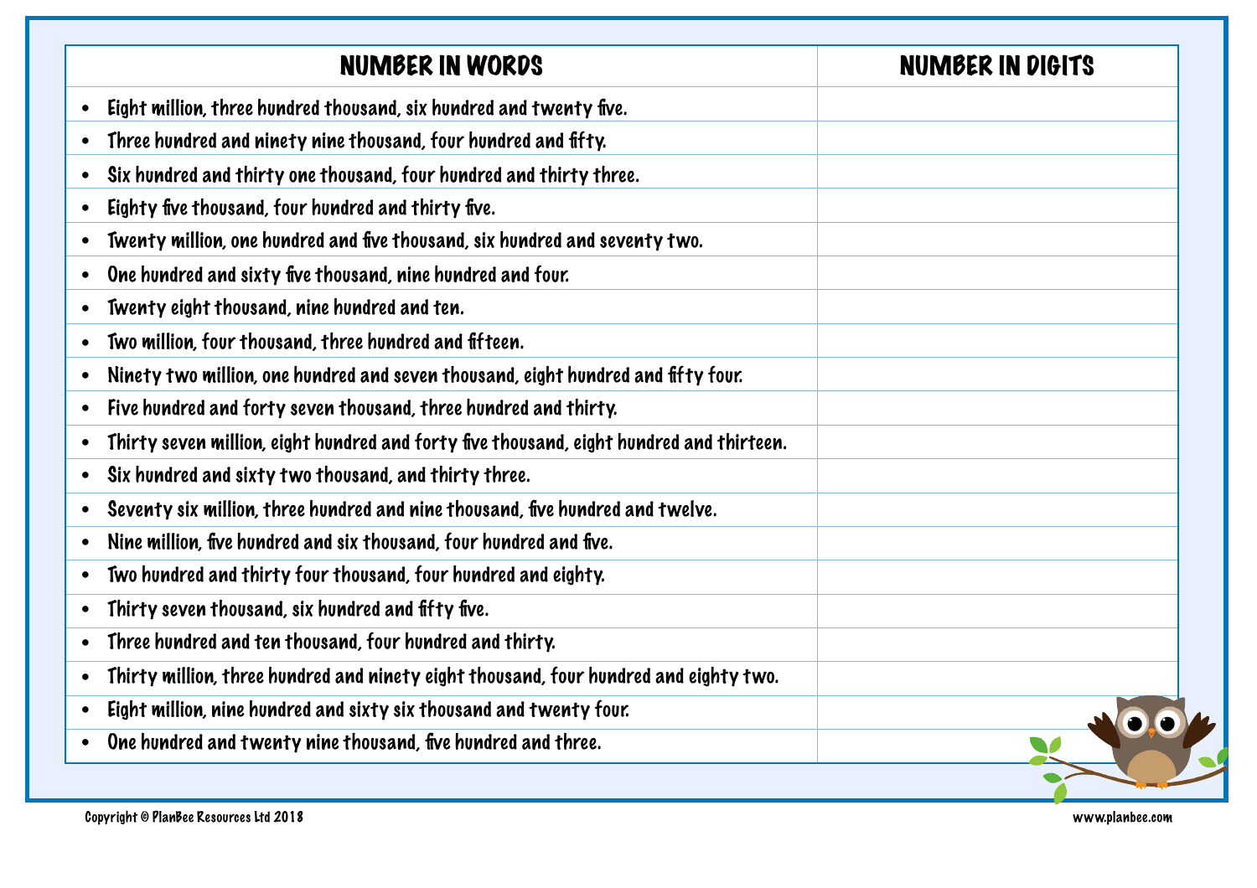| NUMBER IN WORDS                                                                          | <b>NUMBER IN DIGITS</b> |
|------------------------------------------------------------------------------------------|-------------------------|
| Eight million, three hundred thousand, six hundred and twenty five.                      |                         |
| Three hundred and ninety nine thousand, four hundred and fifty.                          |                         |
| Six hundred and thirty one thousand, four hundred and thirty three.                      |                         |
| Eighty five thousand, four hundred and thirty five.                                      |                         |
| Twenty million, one hundred and five thousand, six hundred and seventy two.<br>$\bullet$ |                         |
| One hundred and sixty five thousand, nine hundred and four.                              |                         |
| Twenty eight thousand, nine hundred and ten.<br>$\bullet$                                |                         |
| Two million, four thousand, three hundred and fifteen.                                   |                         |
| Ninety two million, one hundred and seven thousand, eight hundred and fifty four.        |                         |
| Five hundred and forty seven thousand, three hundred and thirty.                         |                         |
| Thirty seven million, eight hundred and forty five thousand, eight hundred and thirteen. |                         |
| Six hundred and sixty two thousand, and thirty three.<br>$\bullet$                       |                         |
| Seventy six million, three hundred and nine thousand, five hundred and twelve.           |                         |
| Nine million, five hundred and six thousand, four hundred and five.                      |                         |
| Two hundred and thirty four thousand, four hundred and eighty.                           |                         |
| Thirty seven thousand, six hundred and fifty five.                                       |                         |
| Three hundred and ten thousand, four hundred and thirty.                                 |                         |
| Thirty million, three hundred and ninety eight thousand, four hundred and eighty two.    |                         |
| Eight million, nine hundred and sixty six thousand and twenty four.                      |                         |
| One hundred and twenty nine thousand, five hundred and three.                            |                         |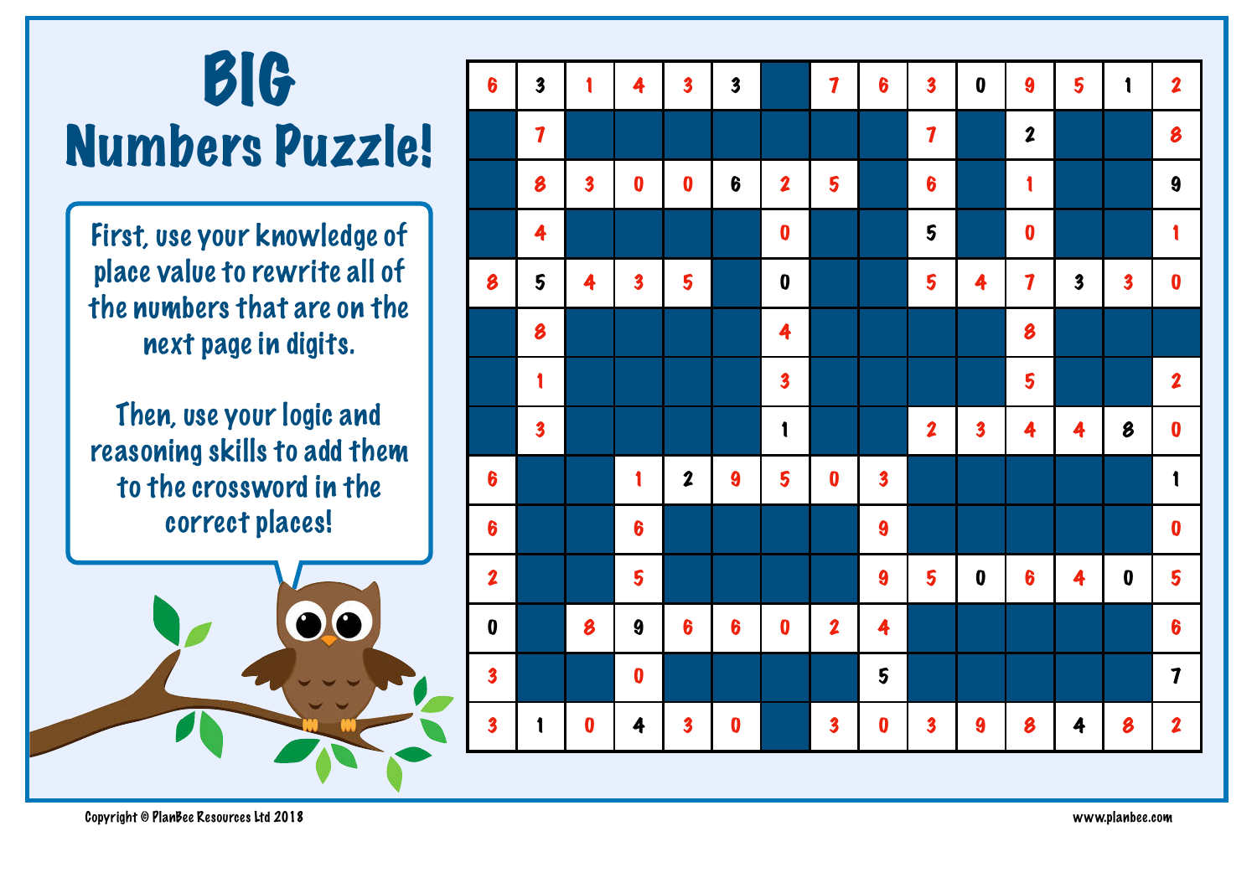## BIG Numbers Puzzle!

First, use your knowledge of place value to rewrite all of the numbers that are on the next page in digits.

Then, use your logic and reasoning skills to add them to the crossword in the correct places!



| $\boldsymbol{6}$        | $\overline{\mathbf{3}}$ | 1                       | 4                       | $\overline{\mathbf{3}}$ | $\overline{\mathbf{3}}$ |                         | $\overline{\mathbf{7}}$ | $\boldsymbol{6}$        | $\overline{\mathbf{3}}$ | $\pmb{0}$               | 9                | 5                       | $\mathbf{1}$               | $\overline{\mathbf{2}}$ |
|-------------------------|-------------------------|-------------------------|-------------------------|-------------------------|-------------------------|-------------------------|-------------------------|-------------------------|-------------------------|-------------------------|------------------|-------------------------|----------------------------|-------------------------|
|                         | $\overline{\mathbf{7}}$ |                         |                         |                         |                         |                         |                         |                         | $\boldsymbol{7}$        |                         | $\boldsymbol{2}$ |                         |                            | 8                       |
|                         | 8                       | $\overline{\mathbf{3}}$ | $\boldsymbol{0}$        | $\boldsymbol{0}$        | $\boldsymbol{6}$        | $\overline{\mathbf{2}}$ | 5                       |                         | $\boldsymbol{6}$        |                         | 1                |                         |                            | 9                       |
|                         | 4                       |                         |                         |                         |                         | $\boldsymbol{0}$        |                         |                         | 5                       |                         | $\boldsymbol{0}$ |                         |                            | 1                       |
| 8                       | 5                       | 4                       | $\overline{\mathbf{3}}$ | 5                       |                         | $\boldsymbol{0}$        |                         |                         | 5                       | 4                       | $\boldsymbol{7}$ | $\overline{\mathbf{3}}$ | $\overline{\mathbf{3}}$    | $\boldsymbol{0}$        |
|                         | 8                       |                         |                         |                         |                         | 4                       |                         |                         |                         |                         | 8                |                         |                            |                         |
|                         | 1                       |                         |                         |                         |                         | $\overline{\mathbf{3}}$ |                         |                         |                         |                         | 5                |                         |                            | $\boldsymbol{2}$        |
|                         | $\boldsymbol{3}$        |                         |                         |                         |                         | $\mathbf{1}$            |                         |                         | $\boldsymbol{2}$        | $\overline{\mathbf{3}}$ | 4                | 4                       | $\boldsymbol{\mathcal{B}}$ | $\boldsymbol{0}$        |
| $\boldsymbol{6}$        |                         |                         | 1                       | $\boldsymbol{2}$        | 9                       | 5                       | $\boldsymbol{0}$        | $\overline{\mathbf{3}}$ |                         |                         |                  |                         |                            | $\mathbf{1}$            |
| $6\phantom{a}$          |                         |                         | $\boldsymbol{6}$        |                         |                         |                         |                         | $\boldsymbol{9}$        |                         |                         |                  |                         |                            | $\boldsymbol{0}$        |
| $\boldsymbol{2}$        |                         |                         | 5                       |                         |                         |                         |                         | $\boldsymbol{9}$        | 5                       | $\pmb{0}$               | 6                | 4                       | $\boldsymbol{0}$           | 5                       |
| $\boldsymbol{0}$        |                         | 8                       | $\boldsymbol{9}$        | $\boldsymbol{6}$        | $\boldsymbol{6}$        | $\boldsymbol{0}$        | $\boldsymbol{2}$        | 4                       |                         |                         |                  |                         |                            | $\boldsymbol{6}$        |
| $\overline{\mathbf{3}}$ |                         |                         | $\boldsymbol{0}$        |                         |                         |                         |                         | 5                       |                         |                         |                  |                         |                            | $\boldsymbol{7}$        |
| $\overline{\mathbf{3}}$ | $\mathbf{1}$            | $\boldsymbol{0}$        | 4                       | $\overline{\mathbf{3}}$ | $\boldsymbol{0}$        |                         | $\overline{\mathbf{3}}$ | $\boldsymbol{0}$        | $\overline{\mathbf{3}}$ | 9                       | 8                | $\ddot{\mathbf{z}}$     | 8                          | $\overline{\mathbf{2}}$ |
|                         |                         |                         |                         |                         |                         |                         |                         |                         |                         |                         |                  |                         |                            |                         |

Copyright © PlanBee Resources Ltd 2018 www.planbee.com